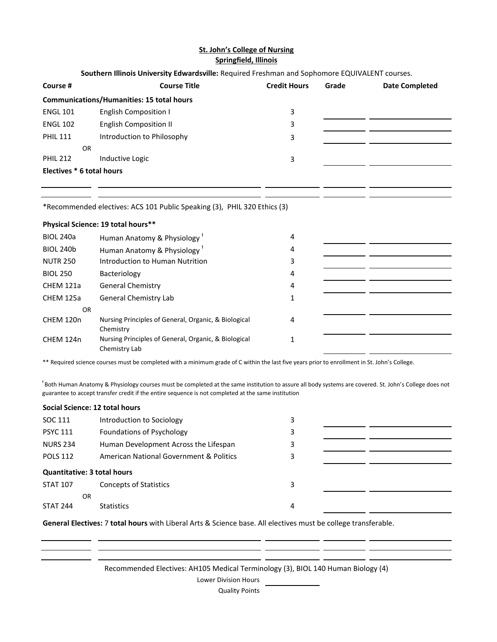## **St. John's College of Nursing Springfield, Illinois**

## **Southern Illinois University Edwardsville:** Required Freshman and Sophomore EQUIVALENT courses.

| Course #                                         | <b>Course Title</b>           | <b>Credit Hours</b> | Grade | <b>Date Completed</b> |  |  |
|--------------------------------------------------|-------------------------------|---------------------|-------|-----------------------|--|--|
| <b>Communications/Humanities: 15 total hours</b> |                               |                     |       |                       |  |  |
| <b>ENGL 101</b>                                  | <b>English Composition I</b>  | 3                   |       |                       |  |  |
| <b>ENGL 102</b>                                  | <b>English Composition II</b> | 3                   |       |                       |  |  |
| <b>PHIL 111</b>                                  | Introduction to Philosophy    | 3                   |       |                       |  |  |
| <b>OR</b>                                        |                               |                     |       |                       |  |  |
| <b>PHIL 212</b>                                  | Inductive Logic               | 3                   |       |                       |  |  |
| Electives * 6 total hours                        |                               |                     |       |                       |  |  |
|                                                  |                               |                     |       |                       |  |  |

<u> 1989 - Jan James Schwalz, mars an Italian (b. 1989)</u>

\*Recommended electives: ACS 101 Public Speaking (3), PHIL 320 Ethics (3)

## **Physical Science: 19 total hours\*\***

| <b>BIOL 240a</b> | Human Anatomy & Physiology                                            | 4 |  |
|------------------|-----------------------------------------------------------------------|---|--|
| <b>BIOL 240b</b> | Human Anatomy & Physiology <sup>+</sup>                               | 4 |  |
| <b>NUTR 250</b>  | Introduction to Human Nutrition                                       | 3 |  |
| <b>BIOL 250</b>  | Bacteriology                                                          | 4 |  |
| CHEM 121a        | <b>General Chemistry</b>                                              | 4 |  |
| CHEM 125a        | General Chemistry Lab                                                 |   |  |
| OR.              |                                                                       |   |  |
| CHEM 120n        | Nursing Principles of General, Organic, & Biological<br>Chemistry     | 4 |  |
| CHEM 124n        | Nursing Principles of General, Organic, & Biological<br>Chemistry Lab |   |  |

\*\* Required science courses must be completed with a minimum grade of C within the last five years prior to enrollment in St. John's College.

<sup>+</sup>Both Human Anatomy & Physiology courses must be completed at the same institution to assure all body systems are covered. St. John's College does not guarantee to accept transfer credit if the entire sequence is not completed at the same institution

## **Social Science: 12 total hours**

| SOC 111                            | Introduction to Sociology               | 3 |  |  |  |  |
|------------------------------------|-----------------------------------------|---|--|--|--|--|
| <b>PSYC 111</b>                    | <b>Foundations of Psychology</b>        | 3 |  |  |  |  |
| <b>NURS 234</b>                    | Human Development Across the Lifespan   | 3 |  |  |  |  |
| <b>POLS 112</b>                    | American National Government & Politics | 3 |  |  |  |  |
| <b>Quantitative: 3 total hours</b> |                                         |   |  |  |  |  |
| <b>STAT 107</b>                    | <b>Concepts of Statistics</b>           | 3 |  |  |  |  |
| OR.                                |                                         |   |  |  |  |  |
| <b>STAT 244</b>                    | <b>Statistics</b>                       | 4 |  |  |  |  |

**General Electives:** 7 **total hours** with Liberal Arts & Science base. All electives must be college transferable.

Recommended Electives: AH105 Medical Terminology (3), BIOL 140 Human Biology (4)

. .  $-$ 

 $=$   $=$